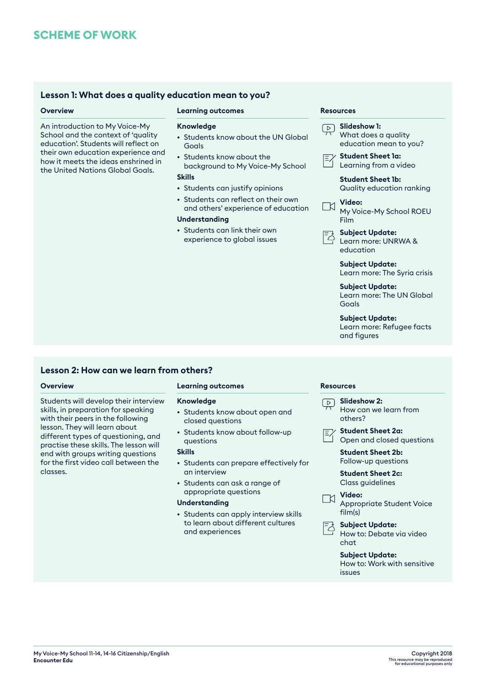# **Lesson 1: What does a quality education mean to you?**

## **Overview <b>Resources Learning outcomes Resources Resources**

An introduction to My Voice-My School and the context of 'quality education'. Students will reflect on their own education experience and how it meets the ideas enshrined in the United Nations Global Goals.

# **Knowledge**

- Students know about the UN Global Goals
- Students know about the background to My Voice-My School

# **Skills**

- Students can justify opinions
- Students can reflect on their own and others' experience of education

# **Understanding**

• Students can link their own experience to global issues

|  | Slideshow 1:<br>What does a quality<br>education mean to you?      |
|--|--------------------------------------------------------------------|
|  | <b>Student Sheet la:</b><br>Learning from a video                  |
|  | Student Sheet 1b:<br>Quality education ranking                     |
|  | Video:<br>N Viaeo:<br>My Voice-My School ROEU<br>Film              |
|  | <b>Subject Update:</b><br>Learn more: UNRWA &<br>education         |
|  | <b>Subject Update:</b><br>Learn more: The Syria crisis             |
|  | <b>Subject Update:</b><br>Learn more: The UN Global<br>Goals       |
|  | <b>Subject Update:</b><br>Learn more: Refugee facts<br>and figures |

# **Lesson 2: How can we learn from others?**

Students will develop their interview skills, in preparation for speaking with their peers in the following lesson. They will learn about different types of questioning, and practise these skills. The lesson will end with groups writing questions for the first video call between the classes.

### **Overview Learning outcomes Resources**

### **Knowledge**

- Students know about open and closed questions
- Students know about follow-up questions

# **Skills**

- Students can prepare effectively for an interview
- Students can ask a range of appropriate questions

# **Understanding**

• Students can apply interview skills to learn about different cultures and experiences

# **Slideshow 2:**



**Student Sheet 2a:** Open and closed questions

**Student Sheet 2b:** Follow-up questions

**Student Sheet 2c:** Class guidelines





**Subject Update:** How to: Debate via video chat

> **Subject Update:** How to: Work with sensitive issues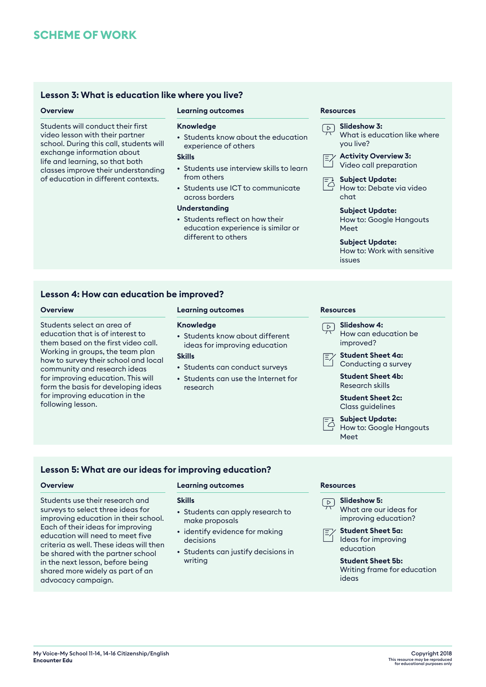# **Lesson 3: What is education like where you live?**

Students will conduct their first video lesson with their partner school. During this call, students will exchange information about life and learning, so that both classes improve their understanding of education in different contexts.

# **Overview <b>Resources Learning outcomes Resources Resources**

### **Knowledge**

• Students know about the education experience of others

### **Skills**

- Students use interview skills to learn from others
- Students use ICT to communicate across borders

## **Understanding**

• Students reflect on how their education experience is similar or different to others

C

| $\overline{D}$ <b>Slideshow 3:</b><br>What is education like where<br>you live? |  |
|---------------------------------------------------------------------------------|--|
| $\mathcal{F}$ Activity Overview 3:                                              |  |

|  | Video call preparation |
|--|------------------------|



**Subject Update:** How to: Debate via video chat

**Subject Update:** How to: Google Hangouts Meet

### **Subject Update:**

How to: Work with sensitive issues

# **Lesson 4: How can education be improved?**

Students select an area of education that is of interest to them based on the first video call. Working in groups, the team plan how to survey their school and local community and research ideas for improving education. This will form the basis for developing ideas for improving education in the following lesson.

## **Overview <b>Resources Learning outcomes Resources Resources**

## **Knowledge**

• Students know about different ideas for improving education

# **Skills**

- Students can conduct surveys
- Students can use the Internet for research

| $\boxed{\triangleright}$ Slideshow 4: |
|---------------------------------------|
| How can education be                  |
| improved?                             |
|                                       |



**Student Sheet 4b:** Research skills

**Student Sheet 2c:** Class guidelines

**Subject Update:** How to: Google Hangouts Meet

# **Lesson 5: What are our ideas for improving education?**

Students use their research and surveys to select three ideas for improving education in their school. Each of their ideas for improving education will need to meet five criteria as well. These ideas will then be shared with the partner school in the next lesson, before being shared more widely as part of an advocacy campaign.

# **Overview Learning outcomes Resources**

### **Skills**

- Students can apply research to make proposals
- identify evidence for making decisions
- Students can justify decisions in writing



What are our ideas for improving education?

**Student Sheet 5a:** Ideas for improving education

### **Student Sheet 5b:** Writing frame for education ideas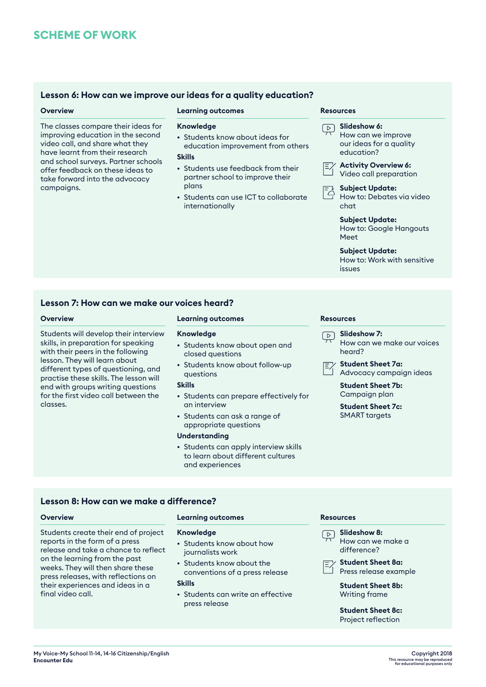# **Lesson 6: How can we improve our ideas for a quality education?**

The classes compare their ideas for improving education in the second video call, and share what they have learnt from their research and school surveys. Partner schools offer feedback on these ideas to take forward into the advocacy campaigns.

### **Overview <b>Resources Learning outcomes Resources Resources**

### **Knowledge**

• Students know about ideas for education improvement from others

### **Skills**

- Students use feedback from their partner school to improve their plans
- Students can use ICT to collaborate internationally

**Slideshow 6:** How can we improve our ideas for a quality education? **Activity Overview 6:**

- Video call preparation
- **Subject Update:** 컹

How to: Debates via video chat

**Subject Update:** How to: Google Hangouts

Meet

# **Subject Update:**

How to: Work with sensitive issues

# **Lesson 7: How can we make our voices heard?**

Students will develop their interview skills, in preparation for speaking with their peers in the following lesson. They will learn about different types of questioning, and practise these skills. The lesson will end with groups writing questions for the first video call between the classes.

# **Overview Learning outcomes Resources**

### **Knowledge**

- Students know about open and closed questions
- Students know about follow-up questions

### **Skills**

- Students can prepare effectively for an interview
- Students can ask a range of appropriate questions

### **Understanding**

• Students can apply interview skills to learn about different cultures and experiences

- **Slideshow 7:**  $\sqrt{2}$ How can we make our voices heard?
	- **Student Sheet 7a:** Advocacy campaign ideas

**Student Sheet 7b:** Campaign plan

**Student Sheet 7c:** SMART targets

# **Lesson 8: How can we make a difference?**

final video call.

**Overview Learning outcomes Resources**

### **Knowledge**

- Students know about how journalists work
- Students know about the conventions of a press release

# **Skills**

• Students can write an effective press release



How can we make a difference?



**Student Sheet 8a:** Press release example

**Student Sheet 8b:** Writing frame

**Student Sheet 8c:** Project reflection

Students create their end of project reports in the form of a press release and take a chance to reflect on the learning from the past weeks. They will then share these press releases, with reflections on their experiences and ideas in a